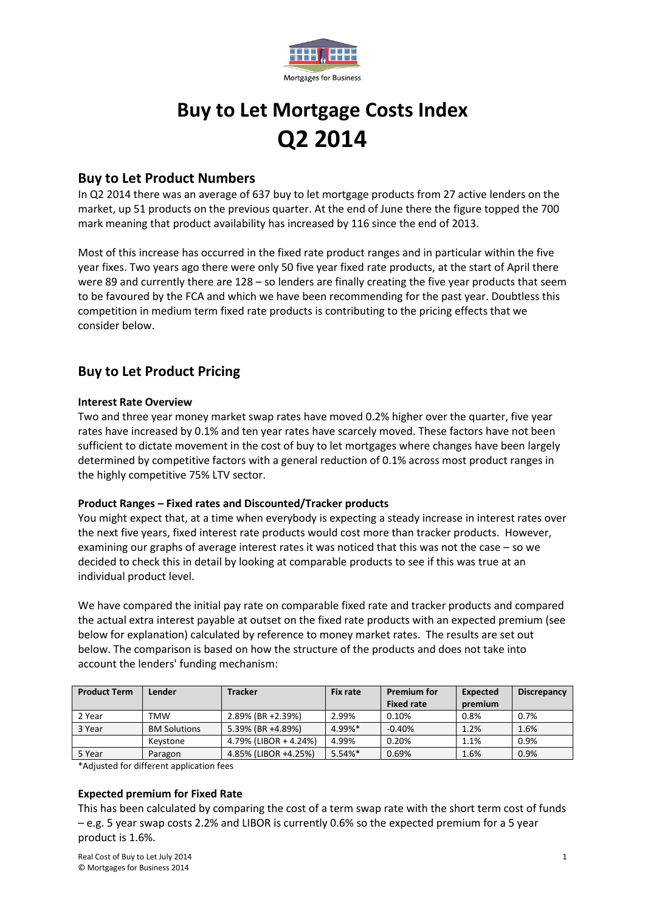

# **Buy to Let Mortgage Costs Index Q2 2014**

## **Buy to Let Product Numbers**

In Q2 2014 there was an average of 637 buy to let mortgage products from 27 active lenders on the market, up 51 products on the previous quarter. At the end of June there the figure topped the 700 mark meaning that product availability has increased by 116 since the end of 2013.

Most of this increase has occurred in the fixed rate product ranges and in particular within the five year fixes. Two years ago there were only 50 five year fixed rate products, at the start of April there were 89 and currently there are 128 – so lenders are finally creating the five year products that seem to be favoured by the FCA and which we have been recommending for the past year. Doubtless this competition in medium term fixed rate products is contributing to the pricing effects that we consider below.

# **Buy to Let Product Pricing**

## **Interest Rate Overview**

Two and three year money market swap rates have moved 0.2% higher over the quarter, five year rates have increased by 0.1% and ten year rates have scarcely moved. These factors have not been sufficient to dictate movement in the cost of buy to let mortgages where changes have been largely determined by competitive factors with a general reduction of 0.1% across most product ranges in the highly competitive 75% LTV sector.

## **Product Ranges – Fixed rates and Discounted/Tracker products**

You might expect that, at a time when everybody is expecting a steady increase in interest rates over the next five years, fixed interest rate products would cost more than tracker products. However, examining our graphs of average interest rates it was noticed that this was not the case – so we decided to check this in detail by looking at comparable products to see if this was true at an individual product level.

We have compared the initial pay rate on comparable fixed rate and tracker products and compared the actual extra interest payable at outset on the fixed rate products with an expected premium (see below for explanation) calculated by reference to money market rates. The results are set out below. The comparison is based on how the structure of the products and does not take into account the lenders' funding mechanism:

| <b>Product Term</b> | Lender              | <b>Tracker</b>        | <b>Fix rate</b> | <b>Premium for</b> | Expected | <b>Discrepancy</b> |
|---------------------|---------------------|-----------------------|-----------------|--------------------|----------|--------------------|
|                     |                     |                       |                 | <b>Fixed rate</b>  | premium  |                    |
| 2 Year              | TMW                 | 2.89% (BR +2.39%)     | 2.99%           | 0.10%              | 0.8%     | 0.7%               |
| 3 Year              | <b>BM Solutions</b> | 5.39% (BR +4.89%)     | 4.99%*          | $-0.40%$           | 1.2%     | 1.6%               |
|                     | Kevstone            | 4.79% (LIBOR + 4.24%) | 4.99%           | 0.20%              | 1.1%     | 0.9%               |
| 5 Year              | Paragon             | 4.85% (LIBOR +4.25%)  | 5.54%*          | 0.69%              | 1.6%     | 0.9%               |

\*Adjusted for different application fees

#### **Expected premium for Fixed Rate**

This has been calculated by comparing the cost of a term swap rate with the short term cost of funds – e.g. 5 year swap costs 2.2% and LIBOR is currently 0.6% so the expected premium for a 5 year product is 1.6%.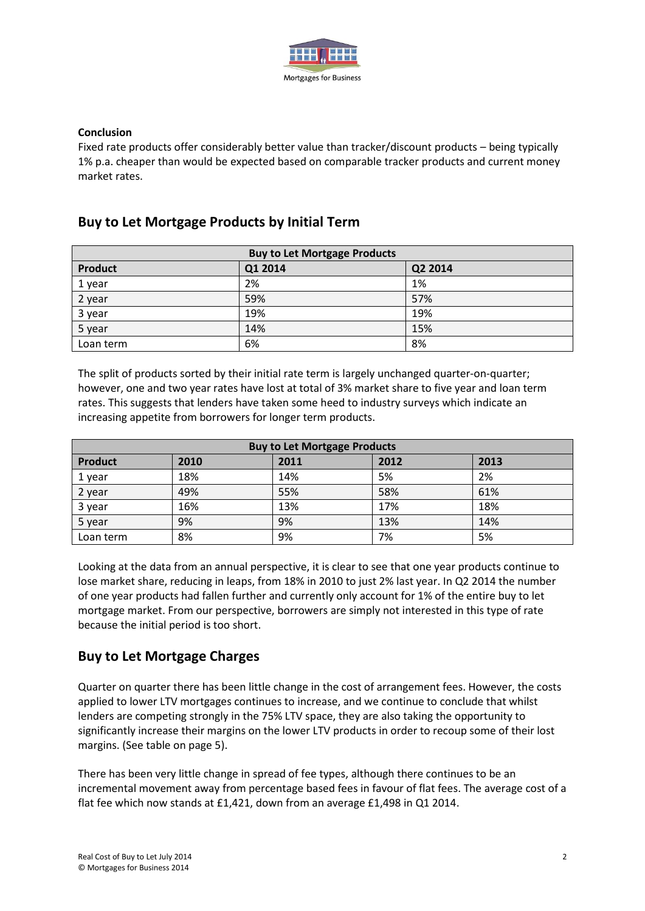

## **Conclusion**

Fixed rate products offer considerably better value than tracker/discount products – being typically 1% p.a. cheaper than would be expected based on comparable tracker products and current money market rates.

# **Buy to Let Mortgage Products by Initial Term**

| <b>Buy to Let Mortgage Products</b> |         |         |  |  |  |  |
|-------------------------------------|---------|---------|--|--|--|--|
| <b>Product</b>                      | Q1 2014 | Q2 2014 |  |  |  |  |
| 1 year                              | 2%      | 1%      |  |  |  |  |
| 2 year                              | 59%     | 57%     |  |  |  |  |
| 3 year                              | 19%     | 19%     |  |  |  |  |
| 5 year                              | 14%     | 15%     |  |  |  |  |
| Loan term                           | 6%      | 8%      |  |  |  |  |

The split of products sorted by their initial rate term is largely unchanged quarter-on-quarter; however, one and two year rates have lost at total of 3% market share to five year and loan term rates. This suggests that lenders have taken some heed to industry surveys which indicate an increasing appetite from borrowers for longer term products.

| <b>Buy to Let Mortgage Products</b> |      |      |      |      |  |  |  |
|-------------------------------------|------|------|------|------|--|--|--|
| <b>Product</b>                      | 2010 | 2011 | 2012 | 2013 |  |  |  |
| 1 year                              | 18%  | 14%  | 5%   | 2%   |  |  |  |
| 2 year                              | 49%  | 55%  | 58%  | 61%  |  |  |  |
| 3 year                              | 16%  | 13%  | 17%  | 18%  |  |  |  |
| 5 year                              | 9%   | 9%   | 13%  | 14%  |  |  |  |
| Loan term                           | 8%   | 9%   | 7%   | 5%   |  |  |  |

Looking at the data from an annual perspective, it is clear to see that one year products continue to lose market share, reducing in leaps, from 18% in 2010 to just 2% last year. In Q2 2014 the number of one year products had fallen further and currently only account for 1% of the entire buy to let mortgage market. From our perspective, borrowers are simply not interested in this type of rate because the initial period is too short.

# **Buy to Let Mortgage Charges**

Quarter on quarter there has been little change in the cost of arrangement fees. However, the costs applied to lower LTV mortgages continues to increase, and we continue to conclude that whilst lenders are competing strongly in the 75% LTV space, they are also taking the opportunity to significantly increase their margins on the lower LTV products in order to recoup some of their lost margins. (See table on page 5).

There has been very little change in spread of fee types, although there continues to be an incremental movement away from percentage based fees in favour of flat fees. The average cost of a flat fee which now stands at £1,421, down from an average £1,498 in Q1 2014.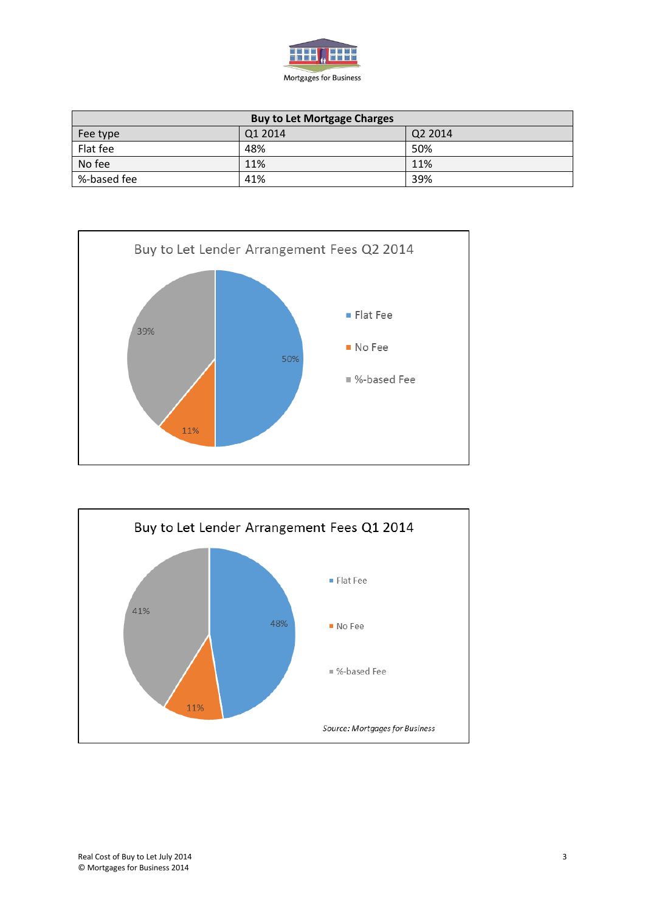

| <b>Buy to Let Mortgage Charges</b> |         |     |  |  |  |  |  |
|------------------------------------|---------|-----|--|--|--|--|--|
| Fee type                           | Q2 2014 |     |  |  |  |  |  |
| Flat fee                           | 48%     | 50% |  |  |  |  |  |
| No fee                             | 11%     | 11% |  |  |  |  |  |
| %-based fee                        | 41%     | 39% |  |  |  |  |  |